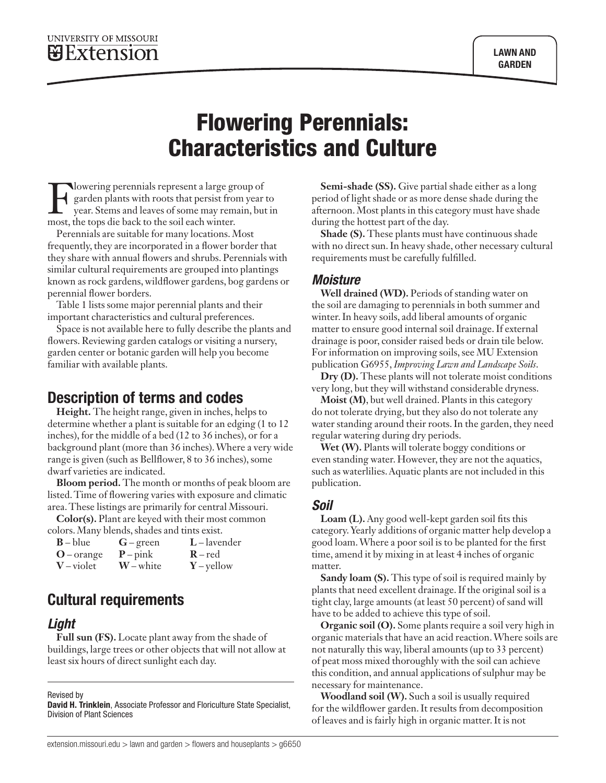# Flowering Perennials: Characteristics and Culture

Flowering perennials represent a large group of<br>garden plants with roots that persist from year<br>year. Stems and leaves of some may remain, but<br>most the tops die back to the soil each winter garden plants with roots that persist from year to year. Stems and leaves of some may remain, but in most, the tops die back to the soil each winter.

Perennials are suitable for many locations. Most frequently, they are incorporated in a flower border that they share with annual flowers and shrubs. Perennials with similar cultural requirements are grouped into plantings known as rock gardens, wildflower gardens, bog gardens or perennial flower borders.

Table 1 lists some major perennial plants and their important characteristics and cultural preferences.

Space is not available here to fully describe the plants and flowers. Reviewing garden catalogs or visiting a nursery, garden center or botanic garden will help you become familiar with available plants.

### Description of terms and codes

**Height.** The height range, given in inches, helps to determine whether a plant is suitable for an edging (1 to 12 inches), for the middle of a bed (12 to 36 inches), or for a background plant (more than 36 inches). Where a very wide range is given (such as Bellflower, 8 to 36 inches), some dwarf varieties are indicated.

**Bloom period.** The month or months of peak bloom are listed. Time of flowering varies with exposure and climatic area. These listings are primarily for central Missouri.

**Color(s).** Plant are keyed with their most common colors. Many blends, shades and tints exist.

|              | $\frac{1}{2}$ |                |
|--------------|---------------|----------------|
| $B - blue$   | $G$ – green   | $L$ – lavender |
| $O$ – orange | $P$ – pink    | $R - red$      |
| $V$ – violet | $W$ – white   | $Y$ – yellow   |

## Cultural requirements

#### *Light*

**Full sun (FS).** Locate plant away from the shade of buildings, large trees or other objects that will not allow at least six hours of direct sunlight each day.

Revised by

David H. Trinklein, Associate Professor and Floriculture State Specialist, Division of Plant Sciences

**Semi-shade (SS).** Give partial shade either as a long period of light shade or as more dense shade during the afternoon. Most plants in this category must have shade during the hottest part of the day.

**Shade (S).** These plants must have continuous shade with no direct sun. In heavy shade, other necessary cultural requirements must be carefully fulfilled.

#### *Moisture*

**Well drained (WD).** Periods of standing water on the soil are damaging to perennials in both summer and winter. In heavy soils, add liberal amounts of organic matter to ensure good internal soil drainage. If external drainage is poor, consider raised beds or drain tile below. For information on improving soils, see MU Extension publication G6955, *Improving Lawn and Landscape Soils*.

**Dry (D).** These plants will not tolerate moist conditions very long, but they will withstand considerable dryness.

**Moist (M)**, but well drained. Plants in this category do not tolerate drying, but they also do not tolerate any water standing around their roots. In the garden, they need regular watering during dry periods.

**Wet (W).** Plants will tolerate boggy conditions or even standing water. However, they are not the aquatics, such as waterlilies. Aquatic plants are not included in this publication.

#### *Soil*

**Loam (L).** Any good well-kept garden soil fits this category. Yearly additions of organic matter help develop a good loam. Where a poor soil is to be planted for the first time, amend it by mixing in at least 4 inches of organic matter.

**Sandy loam (S).** This type of soil is required mainly by plants that need excellent drainage. If the original soil is a tight clay, large amounts (at least 50 percent) of sand will have to be added to achieve this type of soil.

**Organic soil (O).** Some plants require a soil very high in organic materials that have an acid reaction. Where soils are not naturally this way, liberal amounts (up to 33 percent) of peat moss mixed thoroughly with the soil can achieve this condition, and annual applications of sulphur may be necessary for maintenance.

**Woodland soil (W).** Such a soil is usually required for the wildflower garden. It results from decomposition of leaves and is fairly high in organic matter. It is not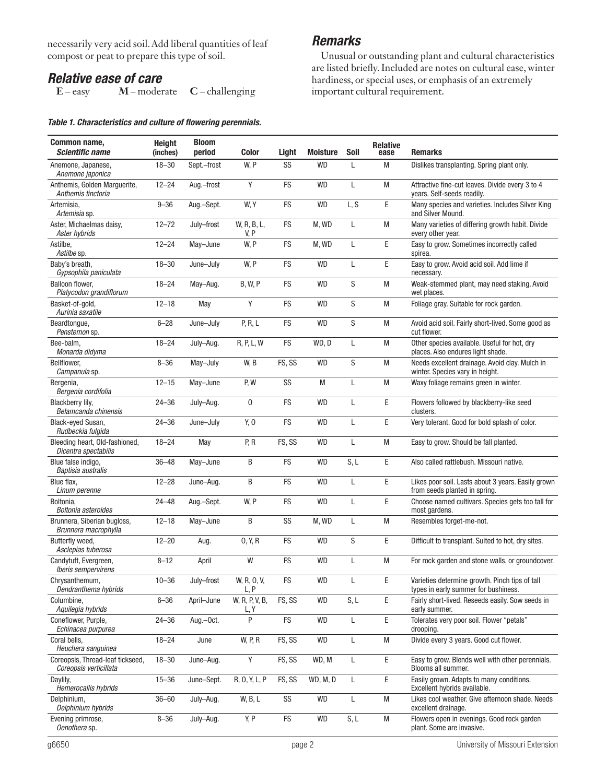necessarily very acid soil. Add liberal quantities of leaf compost or peat to prepare this type of soil.

# *Relative ease of care*<br>E-easy *M*-moder

**M** – moderate **C** – challenging

#### *Table 1. Characteristics and culture of flowering perennials.*

#### *Remarks*

Unusual or outstanding plant and cultural characteristics are listed briefly. Included are notes on cultural ease, winter hardiness, or special uses, or emphasis of an extremely important cultural requirement.

| Common name,<br><b>Scientific name</b>                     | <b>Height</b><br>(inches) | <b>Bloom</b><br>period | Color                  | Light      | <b>Moisture</b> | Soil | <b>Relative</b><br>ease | <b>Remarks</b>                                                                         |
|------------------------------------------------------------|---------------------------|------------------------|------------------------|------------|-----------------|------|-------------------------|----------------------------------------------------------------------------------------|
| Anemone, Japanese,<br>Anemone japonica                     | $18 - 30$                 | Sept.-frost            | W, P                   | SS         | <b>WD</b>       | L    | M                       | Dislikes transplanting. Spring plant only.                                             |
| Anthemis, Golden Marguerite,<br>Anthemis tinctoria         | $12 - 24$                 | Aug.-frost             | Y                      | <b>FS</b>  | <b>WD</b>       | L    | M                       | Attractive fine-cut leaves. Divide every 3 to 4<br>years. Self-seeds readily.          |
| Artemisia.<br>Artemisia sp.                                | $9 - 36$                  | Aug.-Sept.             | W, Y                   | FS         | <b>WD</b>       | L, S | E                       | Many species and varieties. Includes Silver King<br>and Silver Mound.                  |
| Aster, Michaelmas daisy,<br>Aster hybrids                  | $12 - 72$                 | July-frost             | W, R, B, L,<br>V, P    | <b>FS</b>  | M, WD           | L    | M                       | Many varieties of differing growth habit. Divide<br>every other year.                  |
| Astilbe,<br>Astilbe sp.                                    | $12 - 24$                 | May-June               | W, P                   | <b>FS</b>  | M, WD           | L    | E                       | Easy to grow. Sometimes incorrectly called<br>spirea.                                  |
| Baby's breath,<br>Gypsophila paniculata                    | $18 - 30$                 | June-July              | W, P                   | FS         | <b>WD</b>       | L    | E                       | Easy to grow. Avoid acid soil. Add lime if<br>necessary.                               |
| Balloon flower,<br>Platycodon grandiflorum                 | $18 - 24$                 | May-Aug.               | <b>B, W, P</b>         | <b>FS</b>  | <b>WD</b>       | S    | M                       | Weak-stemmed plant, may need staking. Avoid<br>wet places.                             |
| Basket-of-gold,<br>Aurinia saxatile                        | $12 - 18$                 | May                    | Y                      | <b>FS</b>  | <b>WD</b>       | S    | M                       | Foliage gray. Suitable for rock garden.                                                |
| Beardtongue,<br>Penstemon sp.                              | $6 - 28$                  | June-July              | P, R, L                | <b>FS</b>  | <b>WD</b>       | S    | M                       | Avoid acid soil. Fairly short-lived. Some good as<br>cut flower.                       |
| Bee-balm.<br>Monarda didyma                                | $18 - 24$                 | July-Aug.              | R, P, L, W             | FS         | WD, D           | Г    | M                       | Other species available. Useful for hot, dry<br>places. Also endures light shade.      |
| Bellflower.<br>Campanula sp.                               | $8 - 36$                  | May-July               | W, B                   | FS, SS     | <b>WD</b>       | S    | M                       | Needs excellent drainage. Avoid clay. Mulch in<br>winter. Species vary in height.      |
| Bergenia,<br>Bergenia cordifolia                           | $12 - 15$                 | May-June               | P, W                   | SS         | M               | Г    | M                       | Waxy foliage remains green in winter.                                                  |
| Blackberry lily,<br>Belamcanda chinensis                   | $24 - 36$                 | July-Aug.              | 0                      | <b>FS</b>  | <b>WD</b>       | L    | E                       | Flowers followed by blackberry-like seed<br>clusters.                                  |
| Black-eved Susan.<br>Rudbeckia fulgida                     | $24 - 36$                 | June-July              | Y, 0                   | <b>FS</b>  | <b>WD</b>       | L    | E                       | Very tolerant. Good for bold splash of color.                                          |
| Bleeding heart, Old-fashioned,<br>Dicentra spectabilis     | $18 - 24$                 | May                    | P, R                   | FS, SS     | <b>WD</b>       | Г    | M                       | Easy to grow. Should be fall planted.                                                  |
| Blue false indigo,<br>Baptisia australis                   | $36 - 48$                 | May-June               | B                      | <b>FS</b>  | <b>WD</b>       | S, L | E                       | Also called rattlebush. Missouri native.                                               |
| Blue flax.<br>Linum perenne                                | $12 - 28$                 | June-Aug.              | B                      | <b>FS</b>  | <b>WD</b>       | L    | E                       | Likes poor soil. Lasts about 3 years. Easily grown<br>from seeds planted in spring.    |
| Boltonia,<br>Boltonia asteroides                           | $24 - 48$                 | Aug.-Sept.             | W, P                   | FS         | <b>WD</b>       | L    | E                       | Choose named cultivars. Species gets too tall for<br>most gardens.                     |
| Brunnera, Siberian bugloss,<br>Brunnera macrophylla        | $12 - 18$                 | May-June               | B                      | SS         | M, WD           | Г    | M                       | Resembles forget-me-not.                                                               |
| Butterfly weed.<br>Asclepias tuberosa                      | $12 - 20$                 | Aug.                   | 0, Y, R                | FS         | <b>WD</b>       | S    | E                       | Difficult to transplant. Suited to hot, dry sites.                                     |
| Candytuft, Evergreen,<br>Iberis sempervirens               | $8 - 12$                  | April                  | W                      | <b>FS</b>  | <b>WD</b>       | L    | M                       | For rock garden and stone walls, or groundcover.                                       |
| Chrysanthemum,<br>Dendranthema hybrids                     | $10 - 36$                 | July-frost             | W, R, O, V,<br>L, P    | FS         | WD              |      | E                       | Varieties determine growth. Pinch tips of tall<br>types in early summer for bushiness. |
| Columbine,<br>Aquilegia hybrids                            | $6 - 36$                  | April-June             | W, R, P, V, B,<br>L, Y | FS, SS     | <b>WD</b>       | S, L | E                       | Fairly short-lived. Reseeds easily. Sow seeds in<br>early summer.                      |
| Coneflower, Purple,<br>Echinacea purpurea                  | $24 - 36$                 | Aug.-Oct.              | P                      | FS         | <b>WD</b>       | L    | Ε                       | Tolerates very poor soil. Flower "petals"<br>drooping.                                 |
| Coral bells,<br>Heuchera sanguinea                         | $18 - 24$                 | June                   | <b>W, P, R</b>         | FS, SS     | <b>WD</b>       | Г    | M                       | Divide every 3 years. Good cut flower.                                                 |
| Coreopsis, Thread-leaf tickseed,<br>Coreopsis verticillata | $18 - 30$                 | June-Aug.              | Y                      | FS, SS     | WD, M           | Г    | Ε                       | Easy to grow. Blends well with other perennials.<br>Blooms all summer.                 |
| Daylily,<br>Hemerocallis hybrids                           | $15 - 36$                 | June-Sept.             | R, O, Y, L, P          | FS, SS     | WD, M, D        | Г    | Ε                       | Easily grown. Adapts to many conditions.<br>Excellent hybrids available.               |
| Delphinium,<br>Delphinium hybrids                          | $36 - 60$                 | July-Aug.              | W, B, L                | SS         | WD              | L    | M                       | Likes cool weather. Give afternoon shade. Needs<br>excellent drainage.                 |
| Evening primrose,<br>Oenothera sp.                         | $8 - 36$                  | July-Aug.              | Y, P                   | ${\sf FS}$ | <b>WD</b>       | S, L | ${\sf M}$               | Flowers open in evenings. Good rock garden<br>plant. Some are invasive.                |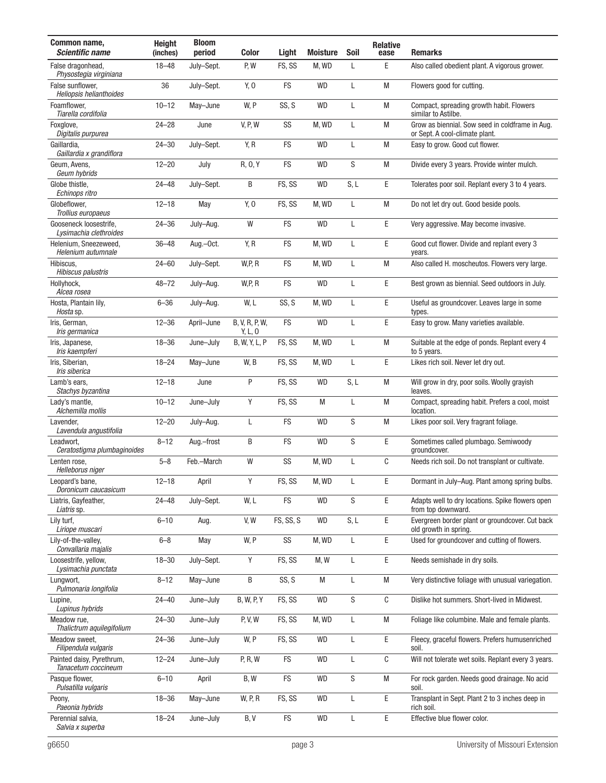| Common name,<br><b>Scientific name</b>             | <b>Height</b><br>(inches) | <b>Bloom</b><br>period | <b>Color</b>              | Light      | <b>Moisture</b> | Soil         | <b>Relative</b><br>ease | <b>Remarks</b>                                                                    |
|----------------------------------------------------|---------------------------|------------------------|---------------------------|------------|-----------------|--------------|-------------------------|-----------------------------------------------------------------------------------|
| False dragonhead.<br>Physostegia virginiana        | $18 - 48$                 | July-Sept.             | P, W                      | FS, SS     | M, WD           | L            | E                       | Also called obedient plant. A vigorous grower.                                    |
| False sunflower,<br><b>Heliopsis helianthoides</b> | 36                        | July-Sept.             | Y, 0                      | FS         | <b>WD</b>       | L            | M                       | Flowers good for cutting.                                                         |
| Foamflower,<br>Tiarella cordifolia                 | $10 - 12$                 | May-June               | W, P                      | SS, S      | <b>WD</b>       | L            | M                       | Compact, spreading growth habit. Flowers<br>similar to Astilbe.                   |
| Foxglove,<br>Digitalis purpurea                    | $24 - 28$                 | June                   | <b>V, P, W</b>            | SS         | M, WD           | L            | M                       | Grow as biennial. Sow seed in coldframe in Aug.<br>or Sept. A cool-climate plant. |
| Gaillardia,<br>Gaillardia x grandiflora            | $24 - 30$                 | July-Sept.             | Y, R                      | FS         | <b>WD</b>       | L            | M                       | Easy to grow. Good cut flower.                                                    |
| Geum, Avens,<br>Geum hybrids                       | $12 - 20$                 | July                   | R, 0, Y                   | FS         | <b>WD</b>       | S            | M                       | Divide every 3 years. Provide winter mulch.                                       |
| Globe thistle,<br>Echinops ritro                   | $24 - 48$                 | July-Sept.             | B                         | FS, SS     | <b>WD</b>       | S, L         | E                       | Tolerates poor soil. Replant every 3 to 4 years.                                  |
| Globeflower,<br>Trollius europaeus                 | $12 - 18$                 | May                    | Y, 0                      | FS, SS     | M, WD           | $\mathsf{L}$ | M                       | Do not let dry out. Good beside pools.                                            |
| Gooseneck loosestrife.<br>Lysimachia clethroides   | $24 - 36$                 | July-Aug.              | W                         | FS         | <b>WD</b>       | $\mathsf{L}$ | $\mathsf E$             | Very aggressive. May become invasive.                                             |
| Helenium, Sneezeweed,<br>Helenium autumnale        | $36 - 48$                 | Aug.-Oct.              | Y, R                      | <b>FS</b>  | M, WD           | L            | E                       | Good cut flower. Divide and replant every 3<br>years.                             |
| Hibiscus,<br>Hibiscus palustris                    | $24 - 60$                 | July-Sept.             | W, P, R                   | FS         | M, WD           | L            | M                       | Also called H. moscheutos. Flowers very large.                                    |
| Hollyhock,<br>Alcea rosea                          | $48 - 72$                 | July-Aug.              | W, P, R                   | FS         | <b>WD</b>       | $\mathsf L$  | E                       | Best grown as biennial. Seed outdoors in July.                                    |
| Hosta, Plantain lily,<br>Hosta sp.                 | $6 - 36$                  | July-Aug.              | W, L                      | SS, S      | M, WD           | L            | $\mathsf E$             | Useful as groundcover. Leaves large in some<br>types.                             |
| Iris, German,<br>Iris germanica                    | $12 - 36$                 | April-June             | B, V, R, P, W,<br>Y, L, O | FS         | <b>WD</b>       | L            | E                       | Easy to grow. Many varieties available.                                           |
| Iris, Japanese,<br>Iris kaempferi                  | $18 - 36$                 | June-July              | B, W, Y, L, P             | FS, SS     | M, WD           | L            | M                       | Suitable at the edge of ponds. Replant every 4<br>to 5 years.                     |
| Iris, Siberian,<br>Iris siberica                   | $18 - 24$                 | May-June               | W, B                      | FS, SS     | M, WD           | L            | E                       | Likes rich soil. Never let dry out.                                               |
| Lamb's ears,<br>Stachys byzantina                  | $12 - 18$                 | June                   | P                         | FS, SS     | <b>WD</b>       | S, L         | M                       | Will grow in dry, poor soils. Woolly grayish<br>leaves.                           |
| Lady's mantle,<br>Alchemilla mollis                | $10 - 12$                 | June-July              | Y                         | FS, SS     | M               | $\mathsf L$  | M                       | Compact, spreading habit. Prefers a cool, moist<br>location.                      |
| Lavender,<br>Lavendula angustifolia                | $12 - 20$                 | July-Aug.              | L                         | <b>FS</b>  | <b>WD</b>       | S            | M                       | Likes poor soil. Very fragrant foliage.                                           |
| Leadwort,<br>Ceratostigma plumbaginoides           | $8 - 12$                  | Aug.-frost             | B                         | FS         | <b>WD</b>       | S            | $\mathsf E$             | Sometimes called plumbago. Semiwoody<br>groundcover.                              |
| Lenten rose,<br>Helleborus niger                   | $5 - 8$                   | Feb.-March             | W                         | SS         | M, WD           | L            | C                       | Needs rich soil. Do not transplant or cultivate.                                  |
| Leopard's bane,<br>Doronicum caucasicum            | $12 - 18$                 | April                  | Υ                         | FS, SS     | M, WD           | L            | Ε                       | Dormant in July-Aug. Plant among spring bulbs.                                    |
| Liatris, Gayfeather,<br>Liatris sp.                | $24 - 48$                 | July-Sept.             | W, L                      | FS         | <b>WD</b>       | S            | E                       | Adapts well to dry locations. Spike flowers open<br>from top downward.            |
| Lily turf,<br>Liriope muscari                      | $6 - 10$                  | Aug.                   | V, W                      | FS, SS, S  | <b>WD</b>       | S, L         | Ε                       | Evergreen border plant or groundcover. Cut back<br>old growth in spring.          |
| Lily-of-the-valley,<br>Convallaria majalis         | $6 - 8$                   | May                    | W, P                      | SS         | M, WD           | L            | Ε                       | Used for groundcover and cutting of flowers.                                      |
| Loosestrife, yellow,<br>Lysimachia punctata        | $18 - 30$                 | July-Sept.             | Y                         | FS, SS     | M, W            | L            | E                       | Needs semishade in dry soils.                                                     |
| Lungwort,<br>Pulmonaria longifolia                 | $8 - 12$                  | May-June               | B                         | SS, S      | M               | $\mathsf L$  | M                       | Very distinctive foliage with unusual variegation.                                |
| Lupine,<br>Lupinus hybrids                         | $24 - 40$                 | June-July              | <b>B, W, P, Y</b>         | FS, SS     | <b>WD</b>       | ${\sf S}$    | С                       | Dislike hot summers. Short-lived in Midwest.                                      |
| Meadow rue,<br>Thalictrum aquilegifolium           | $24 - 30$                 | June-July              | P, V, W                   | FS, SS     | M, WD           | L            | M                       | Foliage like columbine. Male and female plants.                                   |
| Meadow sweet,<br>Filipendula vulgaris              | $24 - 36$                 | June-July              | W, P                      | FS, SS     | <b>WD</b>       | $\mathsf L$  | E                       | Fleecy, graceful flowers. Prefers humusenriched<br>soil.                          |
| Painted daisy, Pyrethrum,<br>Tanacetum coccineum   | $12 - 24$                 | June-July              | P, R, W                   | ${\sf FS}$ | <b>WD</b>       | L            | C                       | Will not tolerate wet soils. Replant every 3 years.                               |
| Pasque flower,<br>Pulsatilla vulgaris              | $6 - 10$                  | April                  | B, W                      | FS         | WD              | S            | M                       | For rock garden. Needs good drainage. No acid<br>soil.                            |
| Peony,<br>Paeonia hybrids                          | $18 - 36$                 | May-June               | <b>W, P, R</b>            | FS, SS     | <b>WD</b>       | L            | $\mathsf E$             | Transplant in Sept. Plant 2 to 3 inches deep in<br>rich soil.                     |
| Perennial salvia,<br>Salvia x superba              | $18 - 24$                 | June-July              | B, V                      | ${\sf FS}$ | <b>WD</b>       | L            | Ε                       | Effective blue flower color.                                                      |